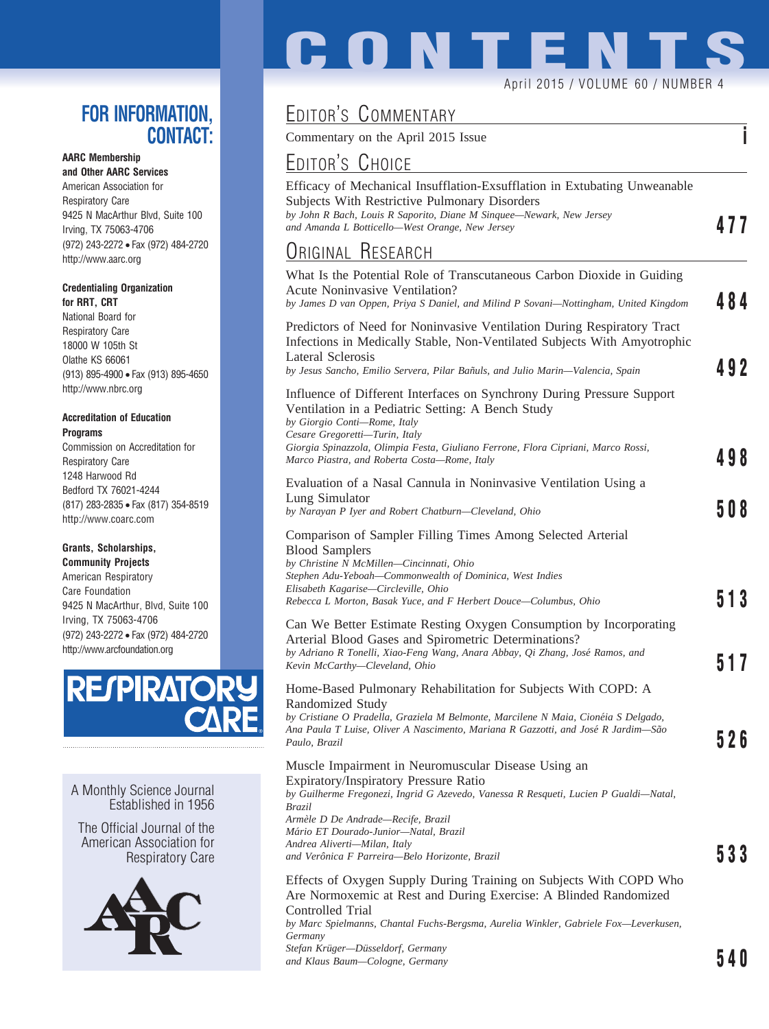### **FOR INFORMATION, CONTACT:**

### **AARC Membership**

**and Other AARC Services** American Association for Respiratory Care 9425 N MacArthur Blvd, Suite 100 Irving, TX 75063-4706 (972) 243-2272 • Fax (972) 484-2720 http://www.aarc.org

#### **Credentialing Organization for RRT, CRT**

National Board for Respiratory Care 18000 W 105th St Olathe KS 66061 (913) 895-4900 • Fax (913) 895-4650 http://www.nbrc.org

#### **Accreditation of Education Programs**

Commission on Accreditation for Respiratory Care 1248 Harwood Rd Bedford TX 76021-4244 (817) 283-2835 • Fax (817) 354-8519 http://www.coarc.com

### **Grants, Scholarships,**

**Community Projects** American Respiratory Care Foundation 9425 N MacArthur, Blvd, Suite 100 Irving, TX 75063-4706 (972) 243-2272 • Fax (972) 484-2720 http://www.arcfoundation.org



### A Monthly Science Journal Established in 1956

The Official Journal of the American Association for Respiratory Care



# **CONTENTS** April 2015 / VOLUME 60 / NUMBER 4

# EDITOR'S COMMENTARY

Commentary on the April 2015 Issue **i**

## EDITOR'S CHOICE

| Efficacy of Mechanical Insufflation-Exsufflation in Extubating Unweanable |     |
|---------------------------------------------------------------------------|-----|
| <b>Subjects With Restrictive Pulmonary Disorders</b>                      |     |
| by John R Bach, Louis R Saporito, Diane M Singuee—Newark, New Jersey      | 477 |
| and Amanda L Botticello—West Orange, New Jersey                           |     |
| $\sim$                                                                    |     |

### <u>Original Research</u>

| <b>ORIGINAL RESEARCH</b>                                                                                                                                                                                                                                     |     |
|--------------------------------------------------------------------------------------------------------------------------------------------------------------------------------------------------------------------------------------------------------------|-----|
| What Is the Potential Role of Transcutaneous Carbon Dioxide in Guiding<br>Acute Noninvasive Ventilation?<br>by James D van Oppen, Priya S Daniel, and Milind P Sovani-Nottingham, United Kingdom                                                             | 484 |
| Predictors of Need for Noninvasive Ventilation During Respiratory Tract<br>Infections in Medically Stable, Non-Ventilated Subjects With Amyotrophic<br>Lateral Sclerosis                                                                                     |     |
| by Jesus Sancho, Emilio Servera, Pilar Bañuls, and Julio Marin—Valencia, Spain                                                                                                                                                                               | 492 |
| Influence of Different Interfaces on Synchrony During Pressure Support<br>Ventilation in a Pediatric Setting: A Bench Study<br>by Giorgio Conti-Rome, Italy<br>Cesare Gregoretti-Turin, Italy                                                                |     |
| Giorgia Spinazzola, Olimpia Festa, Giuliano Ferrone, Flora Cipriani, Marco Rossi,<br>Marco Piastra, and Roberta Costa-Rome, Italy                                                                                                                            | 498 |
| Evaluation of a Nasal Cannula in Noninvasive Ventilation Using a                                                                                                                                                                                             |     |
| Lung Simulator<br>by Narayan P Iyer and Robert Chatburn—Cleveland, Ohio                                                                                                                                                                                      | 508 |
| Comparison of Sampler Filling Times Among Selected Arterial<br><b>Blood Samplers</b><br>by Christine N McMillen-Cincinnati, Ohio<br>Stephen Adu-Yeboah—Commonwealth of Dominica, West Indies                                                                 |     |
| Elisabeth Kagarise-Circleville, Ohio<br>Rebecca L Morton, Basak Yuce, and F Herbert Douce-Columbus, Ohio                                                                                                                                                     | 513 |
| Can We Better Estimate Resting Oxygen Consumption by Incorporating<br>Arterial Blood Gases and Spirometric Determinations?<br>by Adriano R Tonelli, Xiao-Feng Wang, Anara Abbay, Qi Zhang, José Ramos, and<br>Kevin McCarthy-Cleveland, Ohio                 | 517 |
| Home-Based Pulmonary Rehabilitation for Subjects With COPD: A<br>Randomized Study<br>by Cristiane O Pradella, Graziela M Belmonte, Marcilene N Maia, Cionéia S Delgado,<br>Ana Paula T Luise, Oliver A Nascimento, Mariana R Gazzotti, and José R Jardim—São |     |
| Paulo, Brazil                                                                                                                                                                                                                                                | 526 |
| Muscle Impairment in Neuromuscular Disease Using an<br>Expiratory/Inspiratory Pressure Ratio<br>by Guilherme Fregonezi, Ingrid G Azevedo, Vanessa R Resqueti, Lucien P Gualdi-Natal,<br>Brazil<br>Armèle D De Andrade—Recife, Brazil                         |     |
| Mário ET Dourado-Junior-Natal, Brazil<br>Andrea Aliverti-Milan, Italy<br>and Verônica F Parreira—Belo Horizonte, Brazil                                                                                                                                      | 533 |
| Effects of Oxygen Supply During Training on Subjects With COPD Who<br>Are Normoxemic at Rest and During Exercise: A Blinded Randomized<br>Controlled Trial                                                                                                   |     |
| by Marc Spielmanns, Chantal Fuchs-Bergsma, Aurelia Winkler, Gabriele Fox—Leverkusen,<br>Germany                                                                                                                                                              |     |
| Stefan Krüger-Düsseldorf, Germany<br>and Klaus Baum—Cologne, Germany                                                                                                                                                                                         | 540 |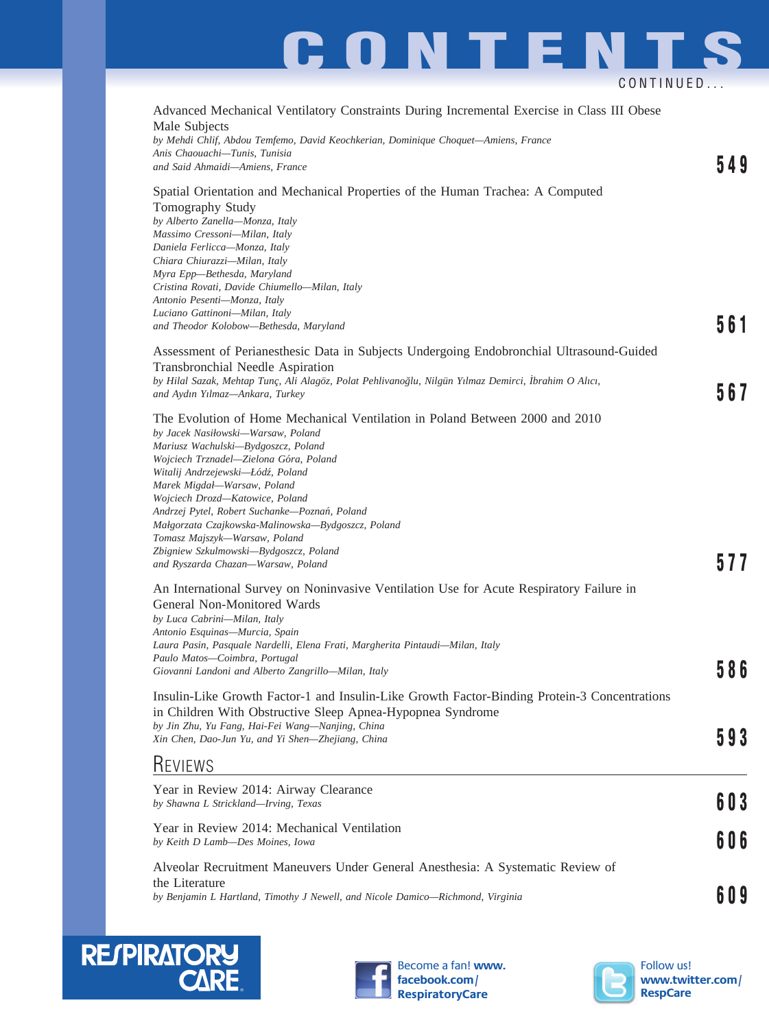# **CONTENTS** CONTINUED...

| Advanced Mechanical Ventilatory Constraints During Incremental Exercise in Class III Obese<br>Male Subjects<br>by Mehdi Chlif, Abdou Temfemo, David Keochkerian, Dominique Choquet-Amiens, France                                                                                                                                                                                                                                                                                                                                  |     |
|------------------------------------------------------------------------------------------------------------------------------------------------------------------------------------------------------------------------------------------------------------------------------------------------------------------------------------------------------------------------------------------------------------------------------------------------------------------------------------------------------------------------------------|-----|
| Anis Chaouachi-Tunis, Tunisia<br>and Said Ahmaidi-Amiens, France                                                                                                                                                                                                                                                                                                                                                                                                                                                                   | 549 |
| Spatial Orientation and Mechanical Properties of the Human Trachea: A Computed<br>Tomography Study<br>by Alberto Zanella-Monza, Italy<br>Massimo Cressoni-Milan, Italy<br>Daniela Ferlicca-Monza, Italy<br>Chiara Chiurazzi-Milan, Italy<br>Myra Epp-Bethesda, Maryland<br>Cristina Rovati, Davide Chiumello-Milan, Italy<br>Antonio Pesenti-Monza, Italy<br>Luciano Gattinoni-Milan, Italy                                                                                                                                        |     |
| and Theodor Kolobow-Bethesda, Maryland                                                                                                                                                                                                                                                                                                                                                                                                                                                                                             | 561 |
| Assessment of Perianesthesic Data in Subjects Undergoing Endobronchial Ultrasound-Guided<br>Transbronchial Needle Aspiration<br>by Hilal Sazak, Mehtap Tunç, Ali Alagöz, Polat Pehlivanoğlu, Nilgün Yılmaz Demirci, İbrahim O Alıcı,<br>and Aydın Yılmaz-Ankara, Turkey                                                                                                                                                                                                                                                            | 567 |
| The Evolution of Home Mechanical Ventilation in Poland Between 2000 and 2010<br>by Jacek Nasiłowski-Warsaw, Poland<br>Mariusz Wachulski-Bydgoszcz, Poland<br>Wojciech Trznadel-Zielona Góra, Poland<br>Witalij Andrzejewski-Łódź, Poland<br>Marek Migdał-Warsaw, Poland<br>Wojciech Drozd-Katowice, Poland<br>Andrzej Pytel, Robert Suchanke-Poznań, Poland<br>Małgorzata Czajkowska-Malinowska-Bydgoszcz, Poland<br>Tomasz Majszyk-Warsaw, Poland<br>Zbigniew Szkulmowski-Bydgoszcz, Poland<br>and Ryszarda Chazan-Warsaw, Poland | 577 |
| An International Survey on Noninvasive Ventilation Use for Acute Respiratory Failure in<br>General Non-Monitored Wards<br>by Luca Cabrini-Milan, Italy<br>Antonio Esquinas-Murcia, Spain<br>Laura Pasin, Pasquale Nardelli, Elena Frati, Margherita Pintaudi-Milan, Italy<br>Paulo Matos-Coimbra, Portugal<br>Giovanni Landoni and Alberto Zangrillo-Milan, Italy                                                                                                                                                                  |     |
| Insulin-Like Growth Factor-1 and Insulin-Like Growth Factor-Binding Protein-3 Concentrations<br>in Children With Obstructive Sleep Apnea-Hypopnea Syndrome<br>by Jin Zhu, Yu Fang, Hai-Fei Wang-Nanjing, China<br>Xin Chen, Dao-Jun Yu, and Yi Shen-Zhejiang, China                                                                                                                                                                                                                                                                | 593 |
| <b>REVIEWS</b>                                                                                                                                                                                                                                                                                                                                                                                                                                                                                                                     |     |
| Year in Review 2014: Airway Clearance<br>by Shawna L Strickland-Irving, Texas                                                                                                                                                                                                                                                                                                                                                                                                                                                      | 603 |
| Year in Review 2014: Mechanical Ventilation<br>by Keith D Lamb-Des Moines, Iowa                                                                                                                                                                                                                                                                                                                                                                                                                                                    | 606 |
| Alveolar Recruitment Maneuvers Under General Anesthesia: A Systematic Review of<br>the Literature<br>by Benjamin L Hartland, Timothy J Newell, and Nicole Damico-Richmond, Virginia                                                                                                                                                                                                                                                                                                                                                | 609 |